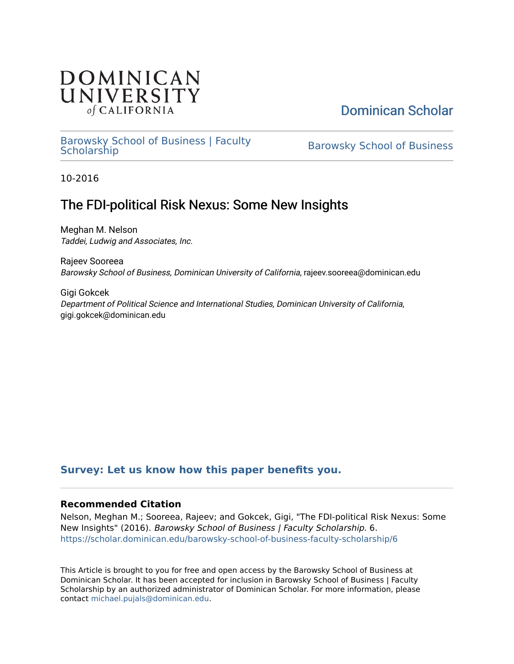## **DOMINICAN** UNIVERSITY of CALIFORNIA

# [Dominican Scholar](https://scholar.dominican.edu/)

### [Barowsky School of Business | Faculty](https://scholar.dominican.edu/barowsky-school-of-business-faculty-scholarship) [Barowsky School of Business](https://scholar.dominican.edu/barowsky-school-of-business) Practicy<br>Scholarship

10-2016

# The FDI-political Risk Nexus: Some New Insights

Meghan M. Nelson Taddei, Ludwig and Associates, Inc.

Rajeev Sooreea Barowsky School of Business, Dominican University of California, rajeev.sooreea@dominican.edu

Gigi Gokcek Department of Political Science and International Studies, Dominican University of California, gigi.gokcek@dominican.edu

## **[Survey: Let us know how this paper benefits you.](https://dominican.libwizard.com/dominican-scholar-feedback)**

### **Recommended Citation**

Nelson, Meghan M.; Sooreea, Rajeev; and Gokcek, Gigi, "The FDI-political Risk Nexus: Some New Insights" (2016). Barowsky School of Business | Faculty Scholarship. 6. [https://scholar.dominican.edu/barowsky-school-of-business-faculty-scholarship/6](https://scholar.dominican.edu/barowsky-school-of-business-faculty-scholarship/6?utm_source=scholar.dominican.edu%2Fbarowsky-school-of-business-faculty-scholarship%2F6&utm_medium=PDF&utm_campaign=PDFCoverPages) 

This Article is brought to you for free and open access by the Barowsky School of Business at Dominican Scholar. It has been accepted for inclusion in Barowsky School of Business | Faculty Scholarship by an authorized administrator of Dominican Scholar. For more information, please contact [michael.pujals@dominican.edu](mailto:michael.pujals@dominican.edu).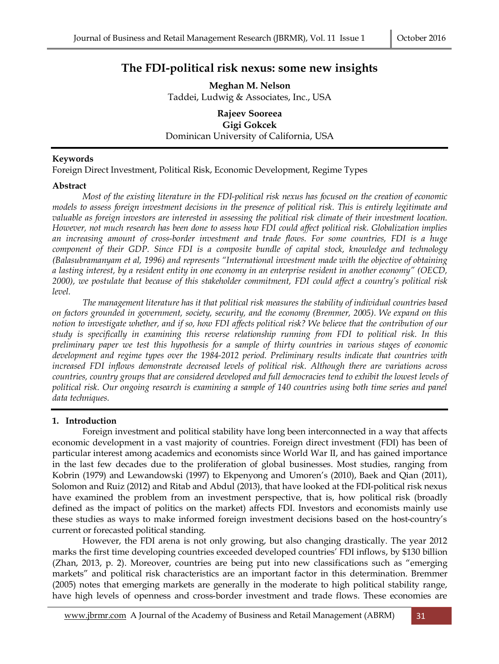### **The FDI-political risk nexus: some new insights**

**Meghan M. Nelson** Taddei, Ludwig & Associates, Inc., USA

**Rajeev Sooreea Gigi Gokcek** Dominican University of California, USA

#### **Keywords**

Foreign Direct Investment, Political Risk, Economic Development, Regime Types

#### **Abstract**

*Most of the existing literature in the FDI-political risk nexus has focused on the creation of economic models to assess foreign investment decisions in the presence of political risk. This is entirely legitimate and valuable as foreign investors are interested in assessing the political risk climate of their investment location. However, not much research has been done to assess how FDI could affect political risk. Globalization implies an increasing amount of cross-border investment and trade flows. For some countries, FDI is a huge component of their GDP. Since FDI is a composite bundle of capital stock, knowledge and technology (Balasubramanyam et al, 1996) and represents "International investment made with the objective of obtaining a lasting interest, by a resident entity in one economy in an enterprise resident in another economy" (OECD, 2000), we postulate that because of this stakeholder commitment, FDI could affect a country's political risk level.* 

*The management literature has it that political risk measures the stability of individual countries based on factors grounded in government, society, security, and the economy (Bremmer, 2005). We expand on this notion to investigate whether, and if so, how FDI affects political risk? We believe that the contribution of our study is specifically in examining this reverse relationship running from FDI to political risk. In this preliminary paper we test this hypothesis for a sample of thirty countries in various stages of economic development and regime types over the 1984-2012 period. Preliminary results indicate that countries with increased FDI inflows demonstrate decreased levels of political risk. Although there are variations across countries, country groups that are considered developed and full democracies tend to exhibit the lowest levels of political risk. Our ongoing research is examining a sample of 140 countries using both time series and panel data techniques.*

#### **1. Introduction**

Foreign investment and political stability have long been interconnected in a way that affects economic development in a vast majority of countries. Foreign direct investment (FDI) has been of particular interest among academics and economists since World War II, and has gained importance in the last few decades due to the proliferation of global businesses. Most studies, ranging from Kobrin (1979) and Lewandowski (1997) to Ekpenyong and Umoren's (2010), Baek and Qian (2011), Solomon and Ruiz (2012) and Ritab and Abdul (2013), that have looked at the FDI-political risk nexus have examined the problem from an investment perspective, that is, how political risk (broadly defined as the impact of politics on the market) affects FDI. Investors and economists mainly use these studies as ways to make informed foreign investment decisions based on the host-country's current or forecasted political standing.

However, the FDI arena is not only growing, but also changing drastically. The year 2012 marks the first time developing countries exceeded developed countries' FDI inflows, by \$130 billion (Zhan, 2013, p. 2). Moreover, countries are being put into new classifications such as "emerging markets" and political risk characteristics are an important factor in this determination. Bremmer (2005) notes that emerging markets are generally in the moderate to high political stability range, have high levels of openness and cross-border investment and trade flows. These economies are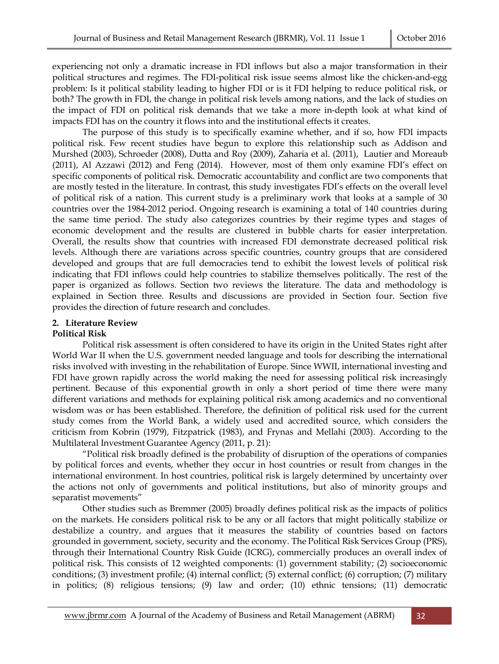experiencing not only a dramatic increase in FDI inflows but also a major transformation in their political structures and regimes. The FDI-political risk issue seems almost like the chicken-and-egg problem: Is it political stability leading to higher FDI or is it FDI helping to reduce political risk, or both? The growth in FDI, the change in political risk levels among nations, and the lack of studies on the impact of FDI on political risk demands that we take a more in-depth look at what kind of impacts FDI has on the country it flows into and the institutional effects it creates.

The purpose of this study is to specifically examine whether, and if so, how FDI impacts political risk. Few recent studies have begun to explore this relationship such as Addison and Murshed (2003), Schroeder (2008), Dutta and Roy (2009), Zaharia et al. (2011), Lautier and Moreaub (2011), Al Azzawi (2012) and Feng (2014). However, most of them only examine FDI's effect on specific components of political risk. Democratic accountability and conflict are two components that are mostly tested in the literature. In contrast, this study investigates FDI's effects on the overall level of political risk of a nation. This current study is a preliminary work that looks at a sample of 30 countries over the 1984-2012 period. Ongoing research is examining a total of 140 countries during the same time period. The study also categorizes countries by their regime types and stages of economic development and the results are clustered in bubble charts for easier interpretation. Overall, the results show that countries with increased FDI demonstrate decreased political risk levels. Although there are variations across specific countries, country groups that are considered developed and groups that are full democracies tend to exhibit the lowest levels of political risk indicating that FDI inflows could help countries to stabilize themselves politically. The rest of the paper is organized as follows. Section two reviews the literature. The data and methodology is explained in Section three. Results and discussions are provided in Section four. Section five provides the direction of future research and concludes.

#### **2. Literature Review Political Risk**

Political risk assessment is often considered to have its origin in the United States right after World War II when the U.S. government needed language and tools for describing the international risks involved with investing in the rehabilitation of Europe. Since WWII, international investing and FDI have grown rapidly across the world making the need for assessing political risk increasingly pertinent. Because of this exponential growth in only a short period of time there were many different variations and methods for explaining political risk among academics and no conventional wisdom was or has been established. Therefore, the definition of political risk used for the current study comes from the World Bank, a widely used and accredited source, which considers the criticism from Kobrin (1979), Fitzpatrick (1983), and Frynas and Mellahi (2003). According to the Multilateral Investment Guarantee Agency (2011, p. 21):

"Political risk broadly defined is the probability of disruption of the operations of companies by political forces and events, whether they occur in host countries or result from changes in the international environment. In host countries, political risk is largely determined by uncertainty over the actions not only of governments and political institutions, but also of minority groups and separatist movements"

Other studies such as Bremmer (2005) broadly defines political risk as the impacts of politics on the markets. He considers political risk to be any or all factors that might politically stabilize or destabilize a country, and argues that it measures the stability of countries based on factors grounded in government, society, security and the economy. The Political Risk Services Group (PRS), through their International Country Risk Guide (ICRG), commercially produces an overall index of political risk. This consists of 12 weighted components: (1) government stability; (2) socioeconomic conditions; (3) investment profile; (4) internal conflict; (5) external conflict; (6) corruption; (7) military in politics; (8) religious tensions; (9) law and order; (10) ethnic tensions; (11) democratic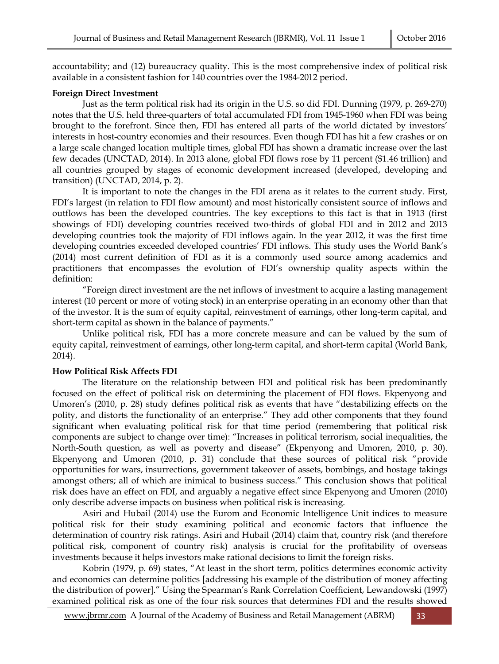accountability; and (12) bureaucracy quality. This is the most comprehensive index of political risk available in a consistent fashion for 140 countries over the 1984-2012 period.

#### **Foreign Direct Investment**

Just as the term political risk had its origin in the U.S. so did FDI. Dunning (1979, p. 269-270) notes that the U.S. held three-quarters of total accumulated FDI from 1945-1960 when FDI was being brought to the forefront. Since then, FDI has entered all parts of the world dictated by investors' interests in host-country economies and their resources. Even though FDI has hit a few crashes or on a large scale changed location multiple times, global FDI has shown a dramatic increase over the last few decades (UNCTAD, 2014). In 2013 alone, global FDI flows rose by 11 percent (\$1.46 trillion) and all countries grouped by stages of economic development increased (developed, developing and transition) (UNCTAD, 2014, p. 2).

It is important to note the changes in the FDI arena as it relates to the current study. First, FDI's largest (in relation to FDI flow amount) and most historically consistent source of inflows and outflows has been the developed countries. The key exceptions to this fact is that in 1913 (first showings of FDI) developing countries received two-thirds of global FDI and in 2012 and 2013 developing countries took the majority of FDI inflows again. In the year 2012, it was the first time developing countries exceeded developed countries' FDI inflows. This study uses the World Bank's (2014) most current definition of FDI as it is a commonly used source among academics and practitioners that encompasses the evolution of FDI's ownership quality aspects within the definition:

"Foreign direct investment are the net inflows of investment to acquire a lasting management interest (10 percent or more of voting stock) in an enterprise operating in an economy other than that of the investor. It is the sum of equity capital, reinvestment of earnings, other long-term capital, and short-term capital as shown in the balance of payments."

Unlike political risk, FDI has a more concrete measure and can be valued by the sum of equity capital, reinvestment of earnings, other long-term capital, and short-term capital (World Bank, 2014).

#### **How Political Risk Affects FDI**

The literature on the relationship between FDI and political risk has been predominantly focused on the effect of political risk on determining the placement of FDI flows. Ekpenyong and Umoren's (2010, p. 28) study defines political risk as events that have "destabilizing effects on the polity, and distorts the functionality of an enterprise." They add other components that they found significant when evaluating political risk for that time period (remembering that political risk components are subject to change over time): "Increases in political terrorism, social inequalities, the North-South question, as well as poverty and disease" (Ekpenyong and Umoren, 2010, p. 30). Ekpenyong and Umoren (2010, p. 31) conclude that these sources of political risk "provide opportunities for wars, insurrections, government takeover of assets, bombings, and hostage takings amongst others; all of which are inimical to business success." This conclusion shows that political risk does have an effect on FDI, and arguably a negative effect since Ekpenyong and Umoren (2010) only describe adverse impacts on business when political risk is increasing.

Asiri and Hubail (2014) use the Eurom and Economic Intelligence Unit indices to measure political risk for their study examining political and economic factors that influence the determination of country risk ratings. Asiri and Hubail (2014) claim that, country risk (and therefore political risk, component of country risk) analysis is crucial for the profitability of overseas investments because it helps investors make rational decisions to limit the foreign risks.

Kobrin (1979, p. 69) states, "At least in the short term, politics determines economic activity and economics can determine politics [addressing his example of the distribution of money affecting the distribution of power]." Using the Spearman's Rank Correlation Coefficient, Lewandowski (1997) examined political risk as one of the four risk sources that determines FDI and the results showed

www.jbrmr.com A Journal of the Academy of Business and Retail Management (ABRM) 33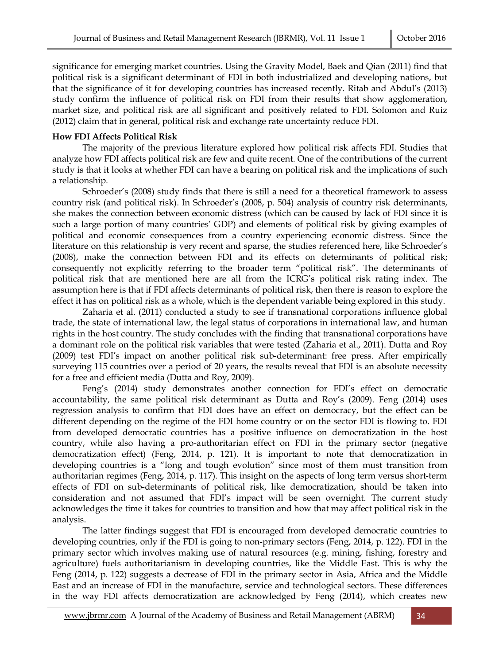significance for emerging market countries. Using the Gravity Model, Baek and Qian (2011) find that political risk is a significant determinant of FDI in both industrialized and developing nations, but that the significance of it for developing countries has increased recently. Ritab and Abdul's (2013) study confirm the influence of political risk on FDI from their results that show agglomeration, market size, and political risk are all significant and positively related to FDI. Solomon and Ruiz (2012) claim that in general, political risk and exchange rate uncertainty reduce FDI.

#### **How FDI Affects Political Risk**

The majority of the previous literature explored how political risk affects FDI. Studies that analyze how FDI affects political risk are few and quite recent. One of the contributions of the current study is that it looks at whether FDI can have a bearing on political risk and the implications of such a relationship.

Schroeder's (2008) study finds that there is still a need for a theoretical framework to assess country risk (and political risk). In Schroeder's (2008, p. 504) analysis of country risk determinants, she makes the connection between economic distress (which can be caused by lack of FDI since it is such a large portion of many countries' GDP) and elements of political risk by giving examples of political and economic consequences from a country experiencing economic distress. Since the literature on this relationship is very recent and sparse, the studies referenced here, like Schroeder's (2008), make the connection between FDI and its effects on determinants of political risk; consequently not explicitly referring to the broader term "political risk". The determinants of political risk that are mentioned here are all from the ICRG's political risk rating index. The assumption here is that if FDI affects determinants of political risk, then there is reason to explore the effect it has on political risk as a whole, which is the dependent variable being explored in this study.

Zaharia et al. (2011) conducted a study to see if transnational corporations influence global trade, the state of international law, the legal status of corporations in international law, and human rights in the host country. The study concludes with the finding that transnational corporations have a dominant role on the political risk variables that were tested (Zaharia et al., 2011). Dutta and Roy (2009) test FDI's impact on another political risk sub-determinant: free press. After empirically surveying 115 countries over a period of 20 years, the results reveal that FDI is an absolute necessity for a free and efficient media (Dutta and Roy, 2009).

Feng's (2014) study demonstrates another connection for FDI's effect on democratic accountability, the same political risk determinant as Dutta and Roy's (2009). Feng (2014) uses regression analysis to confirm that FDI does have an effect on democracy, but the effect can be different depending on the regime of the FDI home country or on the sector FDI is flowing to. FDI from developed democratic countries has a positive influence on democratization in the host country, while also having a pro-authoritarian effect on FDI in the primary sector (negative democratization effect) (Feng, 2014, p. 121). It is important to note that democratization in developing countries is a "long and tough evolution" since most of them must transition from authoritarian regimes (Feng, 2014, p. 117). This insight on the aspects of long term versus short-term effects of FDI on sub-determinants of political risk, like democratization, should be taken into consideration and not assumed that FDI's impact will be seen overnight. The current study acknowledges the time it takes for countries to transition and how that may affect political risk in the analysis.

The latter findings suggest that FDI is encouraged from developed democratic countries to developing countries, only if the FDI is going to non-primary sectors (Feng, 2014, p. 122). FDI in the primary sector which involves making use of natural resources (e.g. mining, fishing, forestry and agriculture) fuels authoritarianism in developing countries, like the Middle East. This is why the Feng (2014, p. 122) suggests a decrease of FDI in the primary sector in Asia, Africa and the Middle East and an increase of FDI in the manufacture, service and technological sectors. These differences in the way FDI affects democratization are acknowledged by Feng (2014), which creates new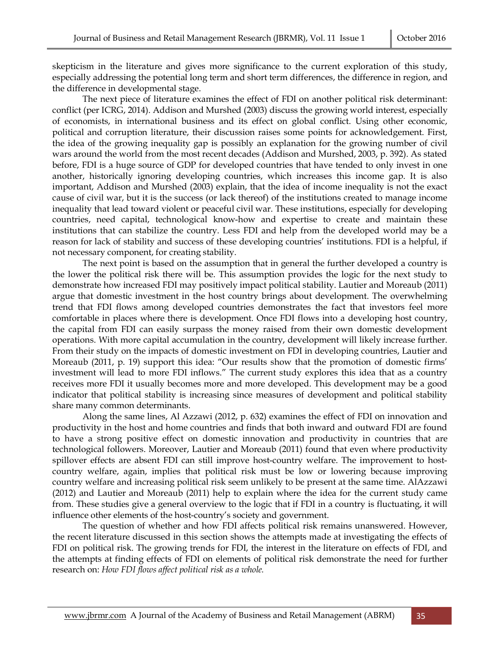skepticism in the literature and gives more significance to the current exploration of this study, especially addressing the potential long term and short term differences, the difference in region, and the difference in developmental stage.

The next piece of literature examines the effect of FDI on another political risk determinant: conflict (per ICRG, 2014). Addison and Murshed (2003) discuss the growing world interest, especially of economists, in international business and its effect on global conflict. Using other economic, political and corruption literature, their discussion raises some points for acknowledgement. First, the idea of the growing inequality gap is possibly an explanation for the growing number of civil wars around the world from the most recent decades (Addison and Murshed, 2003, p. 392). As stated before, FDI is a huge source of GDP for developed countries that have tended to only invest in one another, historically ignoring developing countries, which increases this income gap. It is also important, Addison and Murshed (2003) explain, that the idea of income inequality is not the exact cause of civil war, but it is the success (or lack thereof) of the institutions created to manage income inequality that lead toward violent or peaceful civil war. These institutions, especially for developing countries, need capital, technological know-how and expertise to create and maintain these institutions that can stabilize the country. Less FDI and help from the developed world may be a reason for lack of stability and success of these developing countries' institutions. FDI is a helpful, if not necessary component, for creating stability.

The next point is based on the assumption that in general the further developed a country is the lower the political risk there will be. This assumption provides the logic for the next study to demonstrate how increased FDI may positively impact political stability. Lautier and Moreaub (2011) argue that domestic investment in the host country brings about development. The overwhelming trend that FDI flows among developed countries demonstrates the fact that investors feel more comfortable in places where there is development. Once FDI flows into a developing host country, the capital from FDI can easily surpass the money raised from their own domestic development operations. With more capital accumulation in the country, development will likely increase further. From their study on the impacts of domestic investment on FDI in developing countries, Lautier and Moreaub (2011, p. 19) support this idea: "Our results show that the promotion of domestic firms' investment will lead to more FDI inflows." The current study explores this idea that as a country receives more FDI it usually becomes more and more developed. This development may be a good indicator that political stability is increasing since measures of development and political stability share many common determinants.

Along the same lines, Al Azzawi (2012, p. 632) examines the effect of FDI on innovation and productivity in the host and home countries and finds that both inward and outward FDI are found to have a strong positive effect on domestic innovation and productivity in countries that are technological followers. Moreover, Lautier and Moreaub (2011) found that even where productivity spillover effects are absent FDI can still improve host-country welfare. The improvement to hostcountry welfare, again, implies that political risk must be low or lowering because improving country welfare and increasing political risk seem unlikely to be present at the same time. AlAzzawi (2012) and Lautier and Moreaub (2011) help to explain where the idea for the current study came from. These studies give a general overview to the logic that if FDI in a country is fluctuating, it will influence other elements of the host-country's society and government.

The question of whether and how FDI affects political risk remains unanswered. However, the recent literature discussed in this section shows the attempts made at investigating the effects of FDI on political risk. The growing trends for FDI, the interest in the literature on effects of FDI, and the attempts at finding effects of FDI on elements of political risk demonstrate the need for further research on: *How FDI flows affect political risk as a whole.*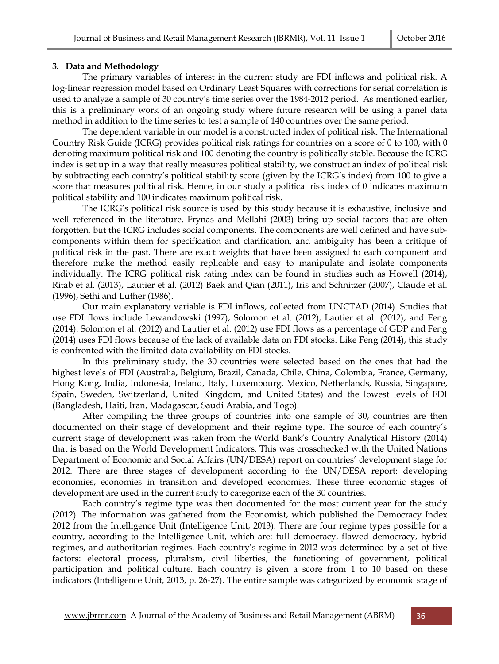#### **3. Data and Methodology**

The primary variables of interest in the current study are FDI inflows and political risk. A log-linear regression model based on Ordinary Least Squares with corrections for serial correlation is used to analyze a sample of 30 country's time series over the 1984-2012 period. As mentioned earlier, this is a preliminary work of an ongoing study where future research will be using a panel data method in addition to the time series to test a sample of 140 countries over the same period.

The dependent variable in our model is a constructed index of political risk. The International Country Risk Guide (ICRG) provides political risk ratings for countries on a score of 0 to 100, with 0 denoting maximum political risk and 100 denoting the country is politically stable. Because the ICRG index is set up in a way that really measures political stability, we construct an index of political risk by subtracting each country's political stability score (given by the ICRG's index) from 100 to give a score that measures political risk. Hence, in our study a political risk index of 0 indicates maximum political stability and 100 indicates maximum political risk.

The ICRG's political risk source is used by this study because it is exhaustive, inclusive and well referenced in the literature. Frynas and Mellahi (2003) bring up social factors that are often forgotten, but the ICRG includes social components. The components are well defined and have subcomponents within them for specification and clarification, and ambiguity has been a critique of political risk in the past. There are exact weights that have been assigned to each component and therefore make the method easily replicable and easy to manipulate and isolate components individually. The ICRG political risk rating index can be found in studies such as Howell (2014), Ritab et al. (2013), Lautier et al. (2012) Baek and Qian (2011), Iris and Schnitzer (2007), Claude et al. (1996), Sethi and Luther (1986).

Our main explanatory variable is FDI inflows, collected from UNCTAD (2014). Studies that use FDI flows include Lewandowski (1997), Solomon et al. (2012), Lautier et al. (2012), and Feng (2014). Solomon et al. (2012) and Lautier et al. (2012) use FDI flows as a percentage of GDP and Feng (2014) uses FDI flows because of the lack of available data on FDI stocks. Like Feng (2014), this study is confronted with the limited data availability on FDI stocks.

In this preliminary study, the 30 countries were selected based on the ones that had the highest levels of FDI (Australia, Belgium, Brazil, Canada, Chile, China, Colombia, France, Germany, Hong Kong, India, Indonesia, Ireland, Italy, Luxembourg, Mexico, Netherlands, Russia, Singapore, Spain, Sweden, Switzerland, United Kingdom, and United States) and the lowest levels of FDI (Bangladesh, Haiti, Iran, Madagascar, Saudi Arabia, and Togo).

After compiling the three groups of countries into one sample of 30, countries are then documented on their stage of development and their regime type. The source of each country's current stage of development was taken from the World Bank's Country Analytical History (2014) that is based on the World Development Indicators. This was crosschecked with the United Nations Department of Economic and Social Affairs (UN/DESA) report on countries' development stage for 2012. There are three stages of development according to the UN/DESA report: developing economies, economies in transition and developed economies. These three economic stages of development are used in the current study to categorize each of the 30 countries.

Each country's regime type was then documented for the most current year for the study (2012). The information was gathered from the Economist, which published the Democracy Index 2012 from the Intelligence Unit (Intelligence Unit, 2013). There are four regime types possible for a country, according to the Intelligence Unit, which are: full democracy, flawed democracy, hybrid regimes, and authoritarian regimes. Each country's regime in 2012 was determined by a set of five factors: electoral process, pluralism, civil liberties, the functioning of government, political participation and political culture. Each country is given a score from 1 to 10 based on these indicators (Intelligence Unit, 2013, p. 26-27). The entire sample was categorized by economic stage of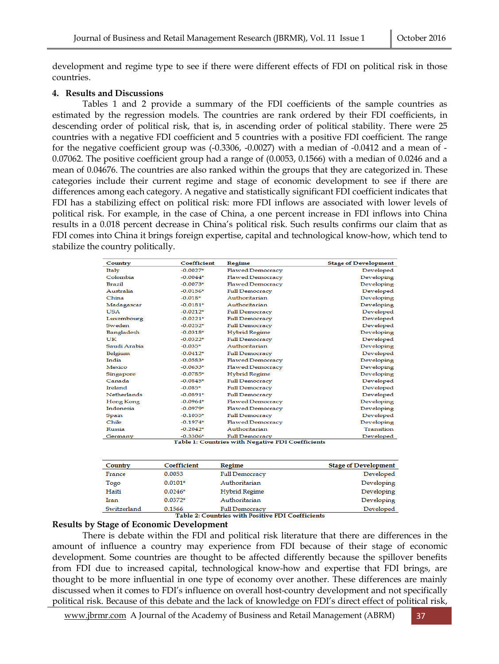development and regime type to see if there were different effects of FDI on political risk in those countries.

#### **4. Results and Discussions**

Tables 1 and 2 provide a summary of the FDI coefficients of the sample countries as estimated by the regression models. The countries are rank ordered by their FDI coefficients, in descending order of political risk, that is, in ascending order of political stability. There were 25 countries with a negative FDI coefficient and 5 countries with a positive FDI coefficient. The range for the negative coefficient group was (-0.3306, -0.0027) with a median of -0.0412 and a mean of - 0.07062. The positive coefficient group had a range of (0.0053, 0.1566) with a median of 0.0246 and a mean of 0.04676. The countries are also ranked within the groups that they are categorized in. These categories include their current regime and stage of economic development to see if there are differences among each category. A negative and statistically significant FDI coefficient indicates that FDI has a stabilizing effect on political risk: more FDI inflows are associated with lower levels of political risk. For example, in the case of China, a one percent increase in FDI inflows into China results in a 0.018 percent decrease in China's political risk. Such results confirms our claim that as FDI comes into China it brings foreign expertise, capital and technological know-how, which tend to stabilize the country politically.

| Country                                           | Coefficient | <b>Regime</b>           | <b>Stage of Development</b> |  |
|---------------------------------------------------|-------------|-------------------------|-----------------------------|--|
| Italy                                             | $-0.0027*$  | <b>Flawed Democracy</b> | Developed                   |  |
| Colombia                                          | $-0.0044*$  | <b>Flawed Democracy</b> | Developing                  |  |
| <b>Brazil</b>                                     | $-0.0073*$  | <b>Flawed Democracy</b> | Developing                  |  |
| Australia                                         | $-0.0156*$  | <b>Full Democracy</b>   | Developed                   |  |
| China                                             | $-0.018*$   | Authoritarian           | Developing                  |  |
| Madagascar                                        | $-0.0181*$  | Authoritarian           | Developing                  |  |
| <b>USA</b>                                        | $-0.0212*$  | <b>Full Democracy</b>   | Developed                   |  |
| Luxembourg                                        | $-0.0221*$  | <b>Full Democracy</b>   | Developed                   |  |
| Sweden                                            | $-0.0252*$  | <b>Full Democracy</b>   | Developed                   |  |
| Bangladesh                                        | $-0.0318*$  | <b>Hybrid Regime</b>    | Developing                  |  |
| UK                                                | $-0.0322*$  | <b>Full Democracy</b>   | Developed                   |  |
| Saudi Arabia                                      | $-0.035*$   | Authoritarian           | Developing                  |  |
| Belgium                                           | $-0.0412*$  | <b>Full Democracy</b>   | Developed                   |  |
| India                                             | $-0.0583*$  | <b>Flawed Democracy</b> | Developing                  |  |
| Mexico                                            | $-0.0633*$  | <b>Flawed Democracy</b> | Developing                  |  |
| Singapore                                         | $-0.0785*$  | <b>Hybrid Regime</b>    | Developing                  |  |
| Canada                                            | $-0.0845*$  | <b>Full Democracy</b>   | Developed                   |  |
| Ireland                                           | $-0.085*$   | <b>Full Democracy</b>   | Developed                   |  |
| <b>Netherlands</b>                                | $-0.0891*$  | <b>Full Democracy</b>   | Developed                   |  |
| Hong Kong                                         | $-0.0964*$  | <b>Flawed Democracy</b> | Developing                  |  |
| Indonesia                                         | $-0.0979*$  | <b>Flawed Democracy</b> | Developing                  |  |
| Spain                                             | $-0.1055*$  | <b>Full Democracy</b>   | Developed                   |  |
| Chile                                             | $-0.1974*$  | <b>Flawed Democracy</b> | Developing                  |  |
| Russia                                            | $-0.2042*$  | Authoritarian           | Transition                  |  |
| Germany                                           | $-0.3306*$  | <b>Full Democracy</b>   | Developed                   |  |
| Table 1: Countries with Negative FDI Coefficients |             |                         |                             |  |

| Country                                           | <b>Coefficient</b> | Regime                | <b>Stage of Development</b> |  |
|---------------------------------------------------|--------------------|-----------------------|-----------------------------|--|
| France                                            | 0.0053             | <b>Full Democracy</b> | Developed                   |  |
| Togo                                              | $0.0101*$          | Authoritarian         | Developing                  |  |
| Haiti                                             | $0.0246*$          | Hybrid Regime         | Developing                  |  |
| Iran                                              | $0.0372*$          | Authoritarian         | Developing                  |  |
| Switzerland                                       | 0.1566             | <b>Full Democracy</b> | Developed                   |  |
| Table 2: Countries with Positive FDI Coefficients |                    |                       |                             |  |

#### **Results by Stage of Economic Development**

There is debate within the FDI and political risk literature that there are differences in the amount of influence a country may experience from FDI because of their stage of economic development. Some countries are thought to be affected differently because the spillover benefits from FDI due to increased capital, technological know-how and expertise that FDI brings, are thought to be more influential in one type of economy over another. These differences are mainly discussed when it comes to FDI's influence on overall host-country development and not specifically political risk. Because of this debate and the lack of knowledge on FDI's direct effect of political risk,

www.jbrmr.com A Journal of the Academy of Business and Retail Management (ABRM) 37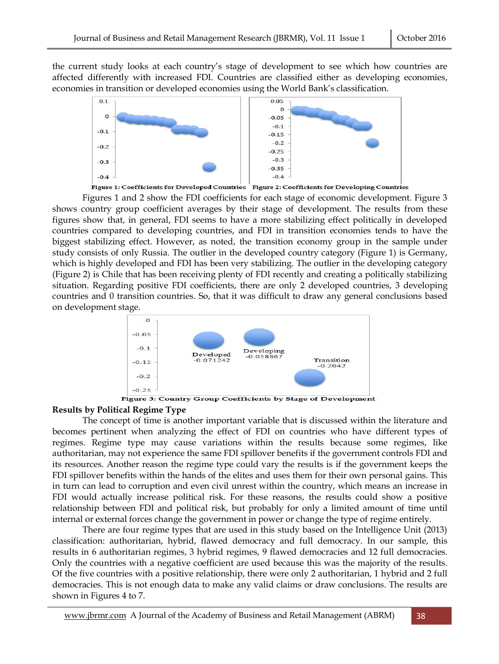the current study looks at each country's stage of development to see which how countries are affected differently with increased FDI. Countries are classified either as developing economies, economies in transition or developed economies using the World Bank's classification.



Figure 1: Coefficients for Developed Countries Figure 2: Coefficients for Developing Countries

Figures 1 and 2 show the FDI coefficients for each stage of economic development. Figure 3 shows country group coefficient averages by their stage of development. The results from these figures show that, in general, FDI seems to have a more stabilizing effect politically in developed countries compared to developing countries, and FDI in transition economies tends to have the biggest stabilizing effect. However, as noted, the transition economy group in the sample under study consists of only Russia. The outlier in the developed country category (Figure 1) is Germany, which is highly developed and FDI has been very stabilizing. The outlier in the developing category (Figure 2) is Chile that has been receiving plenty of FDI recently and creating a politically stabilizing situation. Regarding positive FDI coefficients, there are only 2 developed countries, 3 developing countries and 0 transition countries. So, that it was difficult to draw any general conclusions based on development stage.



#### **Results by Political Regime Type**

The concept of time is another important variable that is discussed within the literature and becomes pertinent when analyzing the effect of FDI on countries who have different types of regimes. Regime type may cause variations within the results because some regimes, like authoritarian, may not experience the same FDI spillover benefits if the government controls FDI and its resources. Another reason the regime type could vary the results is if the government keeps the FDI spillover benefits within the hands of the elites and uses them for their own personal gains. This in turn can lead to corruption and even civil unrest within the country, which means an increase in FDI would actually increase political risk. For these reasons, the results could show a positive relationship between FDI and political risk, but probably for only a limited amount of time until internal or external forces change the government in power or change the type of regime entirely.

There are four regime types that are used in this study based on the Intelligence Unit (2013) classification: authoritarian, hybrid, flawed democracy and full democracy. In our sample, this results in 6 authoritarian regimes, 3 hybrid regimes, 9 flawed democracies and 12 full democracies. Only the countries with a negative coefficient are used because this was the majority of the results. Of the five countries with a positive relationship, there were only 2 authoritarian, 1 hybrid and 2 full democracies. This is not enough data to make any valid claims or draw conclusions. The results are shown in Figures 4 to 7.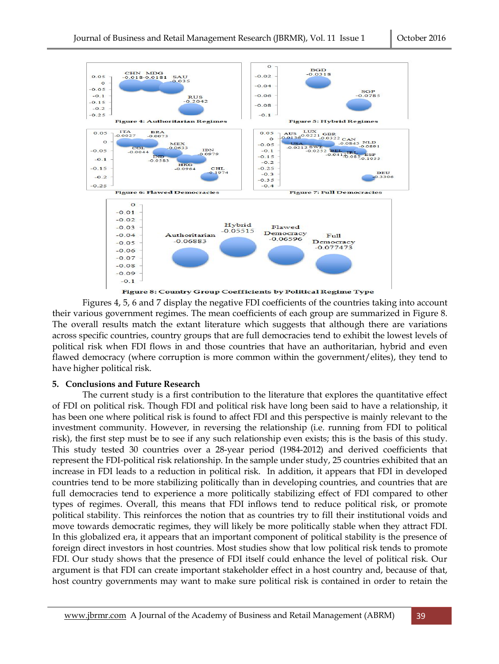

Figures 4, 5, 6 and 7 display the negative FDI coefficients of the countries taking into account their various government regimes. The mean coefficients of each group are summarized in Figure 8. The overall results match the extant literature which suggests that although there are variations across specific countries, country groups that are full democracies tend to exhibit the lowest levels of political risk when FDI flows in and those countries that have an authoritarian, hybrid and even flawed democracy (where corruption is more common within the government/elites), they tend to have higher political risk.

#### **5. Conclusions and Future Research**

The current study is a first contribution to the literature that explores the quantitative effect of FDI on political risk. Though FDI and political risk have long been said to have a relationship, it has been one where political risk is found to affect FDI and this perspective is mainly relevant to the investment community. However, in reversing the relationship (i.e. running from FDI to political risk), the first step must be to see if any such relationship even exists; this is the basis of this study. This study tested 30 countries over a 28-year period (1984-2012) and derived coefficients that represent the FDI-political risk relationship. In the sample under study, 25 countries exhibited that an increase in FDI leads to a reduction in political risk. In addition, it appears that FDI in developed countries tend to be more stabilizing politically than in developing countries, and countries that are full democracies tend to experience a more politically stabilizing effect of FDI compared to other types of regimes. Overall, this means that FDI inflows tend to reduce political risk, or promote political stability. This reinforces the notion that as countries try to fill their institutional voids and move towards democratic regimes, they will likely be more politically stable when they attract FDI. In this globalized era, it appears that an important component of political stability is the presence of foreign direct investors in host countries. Most studies show that low political risk tends to promote FDI. Our study shows that the presence of FDI itself could enhance the level of political risk. Our argument is that FDI can create important stakeholder effect in a host country and, because of that, host country governments may want to make sure political risk is contained in order to retain the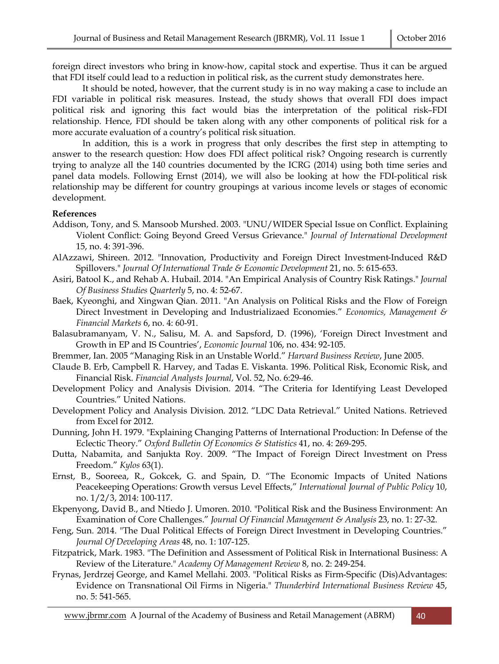foreign direct investors who bring in know-how, capital stock and expertise. Thus it can be argued that FDI itself could lead to a reduction in political risk, as the current study demonstrates here.

It should be noted, however, that the current study is in no way making a case to include an FDI variable in political risk measures. Instead, the study shows that overall FDI does impact political risk and ignoring this fact would bias the interpretation of the political risk–FDI relationship. Hence, FDI should be taken along with any other components of political risk for a more accurate evaluation of a country's political risk situation.

In addition, this is a work in progress that only describes the first step in attempting to answer to the research question: How does FDI affect political risk? Ongoing research is currently trying to analyze all the 140 countries documented by the ICRG (2014) using both time series and panel data models. Following Ernst (2014), we will also be looking at how the FDI-political risk relationship may be different for country groupings at various income levels or stages of economic development.

#### **References**

- Addison, Tony, and S. Mansoob Murshed. 2003. "UNU/WIDER Special Issue on Conflict. Explaining Violent Conflict: Going Beyond Greed Versus Grievance." *Journal of International Development* 15, no. 4: 391-396.
- AlAzzawi, Shireen. 2012. "Innovation, Productivity and Foreign Direct Investment-Induced R&D Spillovers." *Journal Of International Trade & Economic Development* 21, no. 5: 615-653.
- Asiri, Batool K., and Rehab A. Hubail. 2014. "An Empirical Analysis of Country Risk Ratings." *Journal Of Business Studies Quarterly* 5, no. 4: 52-67.
- Baek, Kyeonghi, and Xingwan Qian. 2011. "An Analysis on Political Risks and the Flow of Foreign Direct Investment in Developing and Industrializaed Economies." *Economics, Management & Financial Markets* 6, no. 4: 60-91.
- Balasubramanyam, V. N., Salisu, M. A. and Sapsford, D. (1996), 'Foreign Direct Investment and Growth in EP and IS Countries', *Economic Journal* 106, no. 434: 92-105.
- Bremmer, Ian. 2005 "Managing Risk in an Unstable World." *Harvard Business Review*, June 2005.
- Claude B. Erb, Campbell R. Harvey, and Tadas E. Viskanta. 1996. Political Risk, Economic Risk, and Financial Risk. *Financial Analysts Journal*, Vol. 52, No. 6:29-46.
- Development Policy and Analysis Division. 2014. "The Criteria for Identifying Least Developed Countries." United Nations.
- Development Policy and Analysis Division. 2012. "LDC Data Retrieval." United Nations. Retrieved from Excel for 2012.
- Dunning, John H. 1979. "Explaining Changing Patterns of International Production: In Defense of the Eclectic Theory." *Oxford Bulletin Of Economics & Statistics* 41, no. 4: 269-295.
- Dutta, Nabamita, and Sanjukta Roy. 2009. "The Impact of Foreign Direct Investment on Press Freedom." *Kylos* 63(1).
- Ernst, B., Sooreea, R., Gokcek, G. and Spain, D. "The Economic Impacts of United Nations Peacekeeping Operations: Growth versus Level Effects," *International Journal of Public Policy* 10, no. 1/2/3, 2014: 100-117.
- Ekpenyong, David B., and Ntiedo J. Umoren. 2010. "Political Risk and the Business Environment: An Examination of Core Challenges." *Journal Of Financial Management & Analysis* 23, no. 1: 27-32.
- Feng, Sun. 2014. "The Dual Political Effects of Foreign Direct Investment in Developing Countries." *Journal Of Developing Areas* 48, no. 1: 107-125.
- Fitzpatrick, Mark. 1983. "The Definition and Assessment of Political Risk in International Business: A Review of the Literature." *Academy Of Management Review* 8, no. 2: 249-254.
- Frynas, Jerdrzej George, and Kamel Mellahi. 2003. "Political Risks as Firm-Specific (Dis)Advantages: Evidence on Transnational Oil Firms in Nigeria." *Thunderbird International Business Review* 45, no. 5: 541-565.